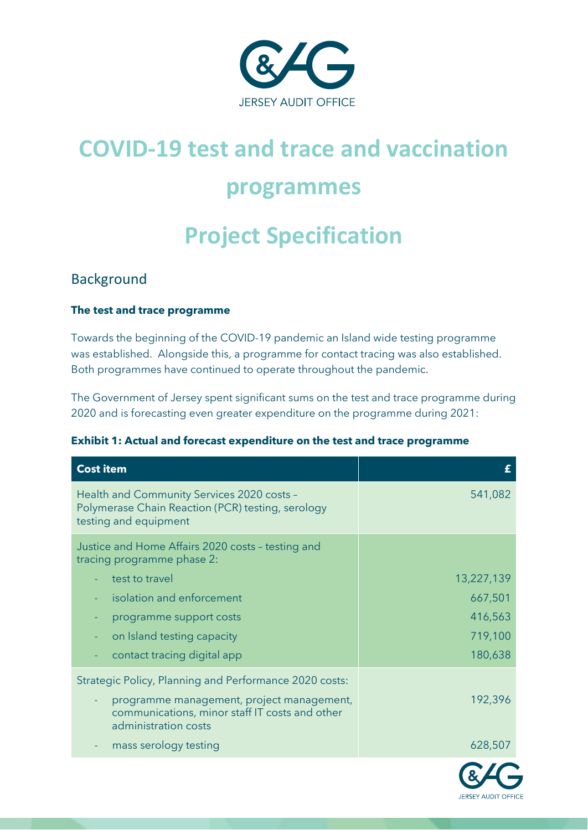

# **COVID-19 test and trace and vaccination programmes**

# **Project Specification**

# Background

#### **The test and trace programme**

Towards the beginning of the COVID-19 pandemic an Island wide testing programme was established. Alongside this, a programme for contact tracing was also established. Both programmes have continued to operate throughout the pandemic.

The Government of Jersey spent significant sums on the test and trace programme during 2020 and is forecasting even greater expenditure on the programme during 2021:

|  |  |  | Exhibit 1: Actual and forecast expenditure on the test and trace programme |
|--|--|--|----------------------------------------------------------------------------|
|  |  |  |                                                                            |

| <b>Cost item</b>                                                                                                         |            |
|--------------------------------------------------------------------------------------------------------------------------|------------|
| Health and Community Services 2020 costs -<br>Polymerase Chain Reaction (PCR) testing, serology<br>testing and equipment | 541,082    |
| Justice and Home Affairs 2020 costs - testing and<br>tracing programme phase 2:                                          |            |
| test to travel                                                                                                           | 13,227,139 |
| isolation and enforcement                                                                                                | 667,501    |
| programme support costs                                                                                                  | 416,563    |
| on Island testing capacity                                                                                               | 719,100    |
| contact tracing digital app                                                                                              | 180,638    |
| Strategic Policy, Planning and Performance 2020 costs:                                                                   |            |
| programme management, project management,<br>communications, minor staff IT costs and other<br>administration costs      | 192,396    |
| mass serology testing                                                                                                    | 628,507    |
|                                                                                                                          |            |

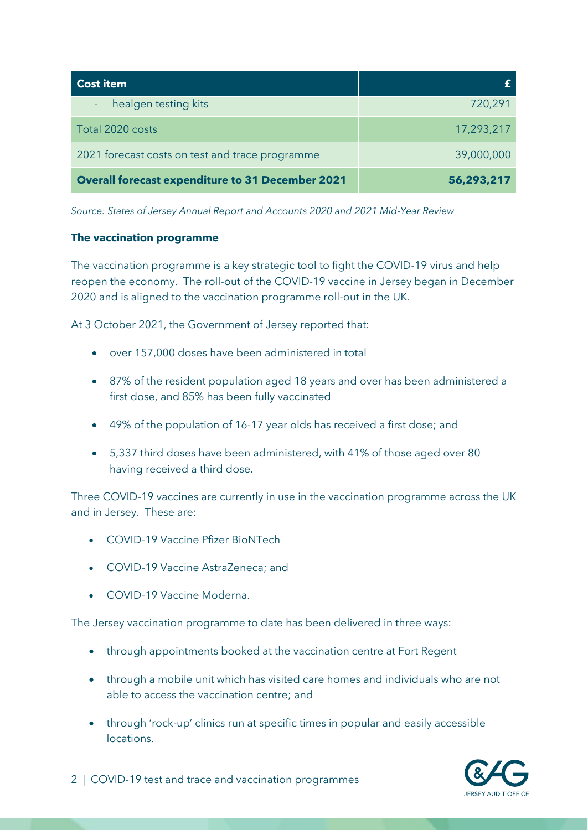| <b>Cost item</b>                                        |            |
|---------------------------------------------------------|------------|
| healgen testing kits                                    | 720,291    |
| Total 2020 costs                                        | 17,293,217 |
| 2021 forecast costs on test and trace programme         | 39,000,000 |
| <b>Overall forecast expenditure to 31 December 2021</b> | 56,293,217 |

*Source: States of Jersey Annual Report and Accounts 2020 and 2021 Mid-Year Review*

#### **The vaccination programme**

The vaccination programme is a key strategic tool to fight the COVID-19 virus and help reopen the economy. The roll-out of the COVID-19 vaccine in Jersey began in December 2020 and is aligned to the vaccination programme roll-out in the UK.

At 3 October 2021, the Government of Jersey reported that:

- over 157,000 doses have been administered in total
- 87% of the resident population aged 18 years and over has been administered a first dose, and 85% has been fully vaccinated
- 49% of the population of 16-17 year olds has received a first dose; and
- 5,337 third doses have been administered, with 41% of those aged over 80 having received a third dose.

Three COVID-19 vaccines are currently in use in the vaccination programme across the UK and in Jersey. These are:

- COVID-19 Vaccine Pfizer BioNTech
- COVID-19 Vaccine AstraZeneca; and
- COVID-19 Vaccine Moderna.

The Jersey vaccination programme to date has been delivered in three ways:

- through appointments booked at the vaccination centre at Fort Regent
- through a mobile unit which has visited care homes and individuals who are not able to access the vaccination centre; and
- through 'rock-up' clinics run at specific times in popular and easily accessible locations.

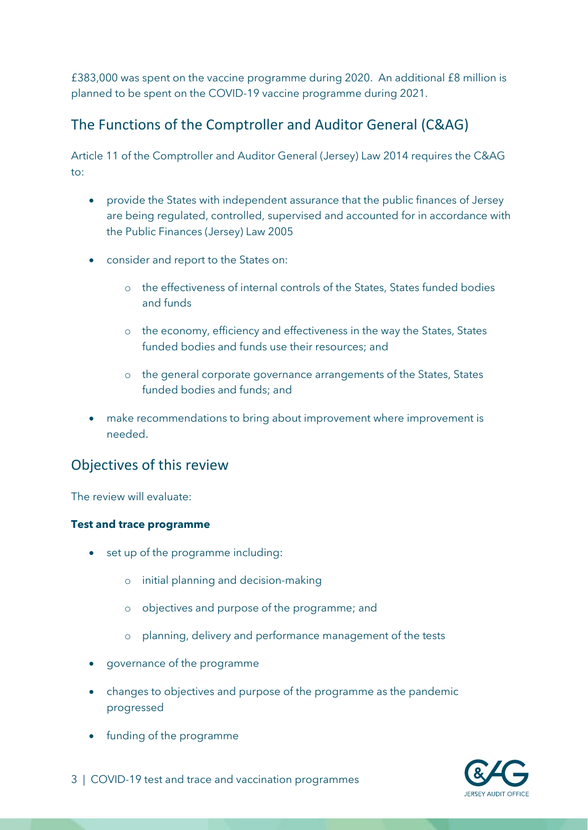£383,000 was spent on the vaccine programme during 2020. An additional £8 million is planned to be spent on the COVID-19 vaccine programme during 2021.

# The Functions of the Comptroller and Auditor General (C&AG)

Article 11 of the Comptroller and Auditor General (Jersey) Law 2014 requires the C&AG to:

- provide the States with independent assurance that the public finances of Jersey are being regulated, controlled, supervised and accounted for in accordance with the Public Finances (Jersey) Law 2005
- consider and report to the States on:
	- o the effectiveness of internal controls of the States, States funded bodies and funds
	- o the economy, efficiency and effectiveness in the way the States, States funded bodies and funds use their resources; and
	- o the general corporate governance arrangements of the States, States funded bodies and funds; and
- make recommendations to bring about improvement where improvement is needed.

## Objectives of this review

The review will evaluate:

#### **Test and trace programme**

- set up of the programme including:
	- o initial planning and decision-making
	- o objectives and purpose of the programme; and
	- o planning, delivery and performance management of the tests
- governance of the programme
- changes to objectives and purpose of the programme as the pandemic progressed
- funding of the programme



3 | COVID-19 test and trace and vaccination programmes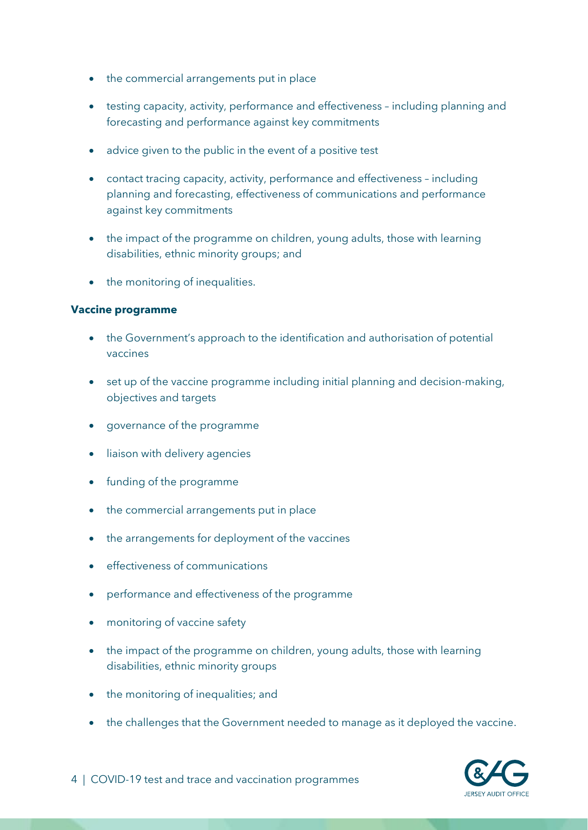- the commercial arrangements put in place
- testing capacity, activity, performance and effectiveness including planning and forecasting and performance against key commitments
- advice given to the public in the event of a positive test
- contact tracing capacity, activity, performance and effectiveness including planning and forecasting, effectiveness of communications and performance against key commitments
- the impact of the programme on children, young adults, those with learning disabilities, ethnic minority groups; and
- the monitoring of inequalities.

#### **Vaccine programme**

- the Government's approach to the identification and authorisation of potential vaccines
- set up of the vaccine programme including initial planning and decision-making, objectives and targets
- governance of the programme
- liaison with delivery agencies
- funding of the programme
- the commercial arrangements put in place
- the arrangements for deployment of the vaccines
- effectiveness of communications
- performance and effectiveness of the programme
- monitoring of vaccine safety
- the impact of the programme on children, young adults, those with learning disabilities, ethnic minority groups
- the monitoring of inequalities; and
- the challenges that the Government needed to manage as it deployed the vaccine.

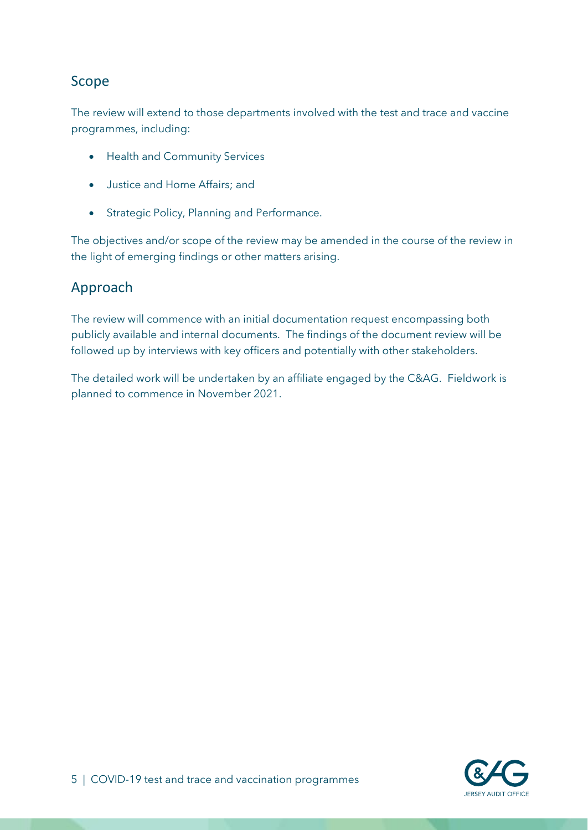## Scope

The review will extend to those departments involved with the test and trace and vaccine programmes, including:

- Health and Community Services
- Justice and Home Affairs; and
- Strategic Policy, Planning and Performance.

The objectives and/or scope of the review may be amended in the course of the review in the light of emerging findings or other matters arising.

# Approach

The review will commence with an initial documentation request encompassing both publicly available and internal documents. The findings of the document review will be followed up by interviews with key officers and potentially with other stakeholders.

The detailed work will be undertaken by an affiliate engaged by the C&AG. Fieldwork is planned to commence in November 2021.